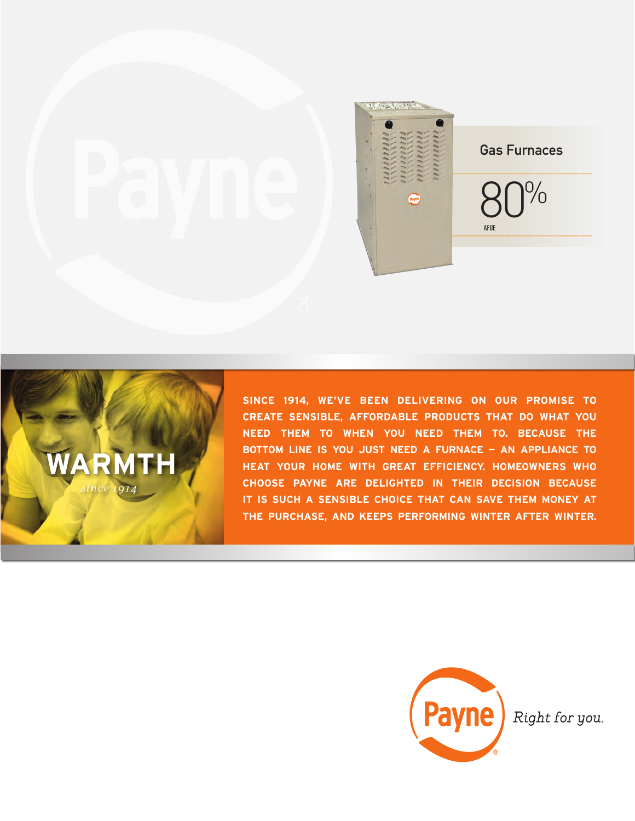



**SINCE 1914, WE'VE BEEN DELIVERING ON OUR PROMISE TO CREATE SENSIBLE, AFFORDABLE PRODUCTS THAT DO WHAT YOU NEED THEM TO WHEN YOU NEED THEM TO. BECAUSE THE BOTTOM LINE IS YOU JUST NEED A FURNACE — AN APPLIANCE TO HEAT YOUR HOME WITH GREAT EFFICIENCY. HOMEOWNERS WHO CHOOSE PAYNE ARE DELIGHTED IN THEIR DECISION BECAUSE IT IS SUCH A SENSIBLE CHOICE THAT CAN SAVE THEM MONEY AT THE PURCHASE, AND KEEPS PERFORMING WINTER AFTER WINTER.**



Right for you.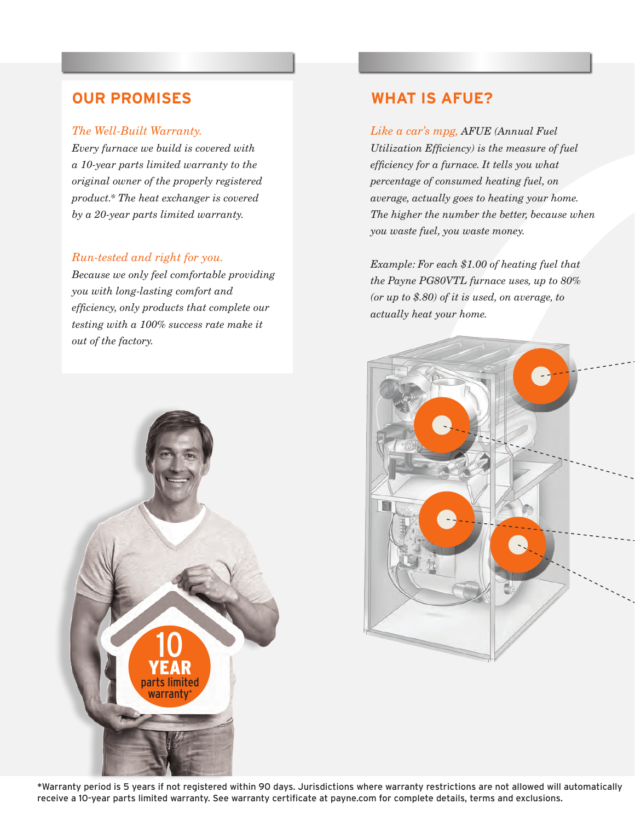#### *The Well-Built Warranty.*

*Every furnace we build is covered with a 10-year parts limited warranty to the original owner of the properly registered product.\* The heat exchanger is covered by a 20-year parts limited warranty.*

### *Run-tested and right for you.*

*Because we only feel comfortable providing you with long-lasting comfort and efficiency, only products that complete our testing with a 100% success rate make it out of the factory.* 

# 10 YEAR parts limited warranty\*

# **OUR PROMISES WHAT IS AFUE?**

*Like a car's mpg, AFUE (Annual Fuel Utilization Efficiency) is the measure of fuel efficiency for a furnace. It tells you what percentage of consumed heating fuel, on average, actually goes to heating your home. The higher the number the better, because when you waste fuel, you waste money.*

*Example: For each \$1.00 of heating fuel that the Payne PG80VTL furnace uses, up to 80% (or up to \$.80) of it is used, on average, to actually heat your home.*



\*Warranty period is 5 years if not registered within 90 days. Jurisdictions where warranty restrictions are not allowed will automatically receive a 10-year parts limited warranty. See warranty certificate at payne.com for complete details, terms and exclusions.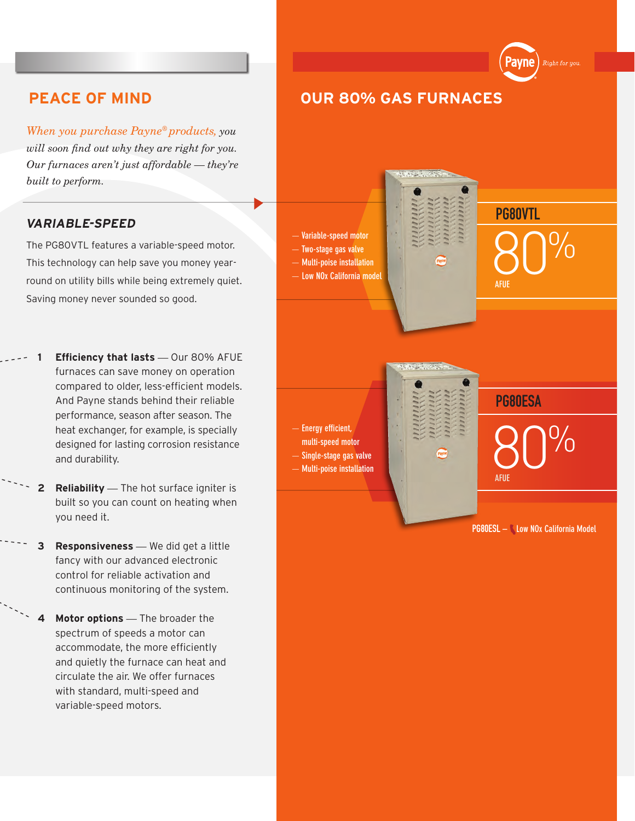*When you purchase Payne® products, you will soon find out why they are right for you. Our furnaces aren't just affordable — they're built to perform.*

## **VARIABLE-SPEED**

The PG80VTL features a variable-speed motor. This technology can help save you money yearround on utility bills while being extremely quiet. Saving money never sounded so good.

- **1 Efficiency that lasts** *—* Our 80% AFUE furnaces can save money on operation compared to older, less-efficient models. And Payne stands behind their reliable performance, season after season. The heat exchanger, for example, is specially designed for lasting corrosion resistance and durability.
- **2 Reliability** *—* The hot surface igniter is built so you can count on heating when you need it.
- **3 Responsiveness** *—* We did get a little fancy with our advanced electronic control for reliable activation and continuous monitoring of the system.
- **4 Motor options** *—* The broader the spectrum of speeds a motor can accommodate, the more efficiently and quietly the furnace can heat and circulate the air. We offer furnaces with standard, multi-speed and variable-speed motors.

# **PEACE OF MIND OUR 80% GAS FURNACES**

— **Variable-speed motor** — **Two-stage gas valve** — **Multi-poise installation** — **Low NOx California model**

— **Energy efficient,** 

- **multi-speed motor**
- — **Single-stage gas valve** — **Multi-poise installation**
- 

PG80ESA

80% **AFUE**

80%

PG80VTL

Payne

Right for you

**AFUE**

PG80ESL **– Low NOx California Model**